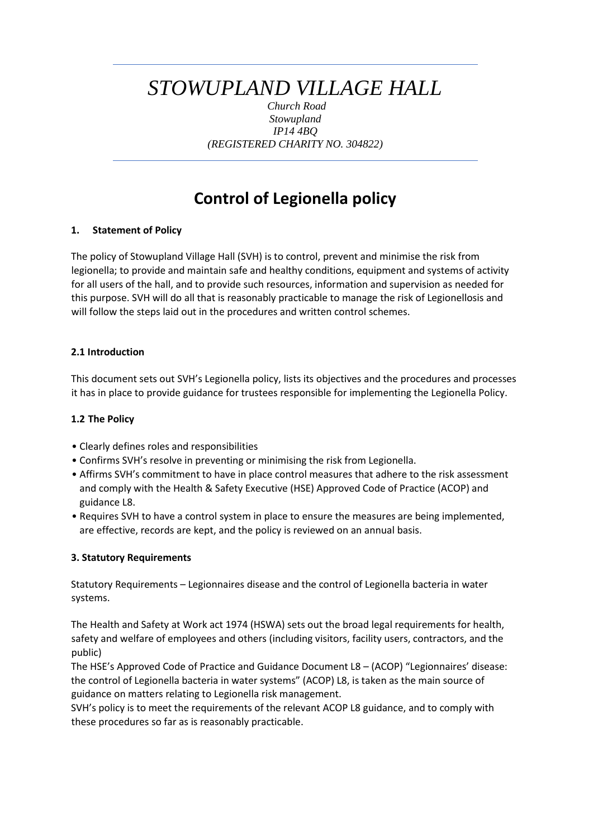# *STOWUPLAND VILLAGE HALL*

*Church Road Stowupland IP14 4BQ (REGISTERED CHARITY NO. 304822)*

# **Control of Legionella policy**

# **1. Statement of Policy**

The policy of Stowupland Village Hall (SVH) is to control, prevent and minimise the risk from legionella; to provide and maintain safe and healthy conditions, equipment and systems of activity for all users of the hall, and to provide such resources, information and supervision as needed for this purpose. SVH will do all that is reasonably practicable to manage the risk of Legionellosis and will follow the steps laid out in the procedures and written control schemes.

# **2.1 Introduction**

This document sets out SVH's Legionella policy, lists its objectives and the procedures and processes it has in place to provide guidance for trustees responsible for implementing the Legionella Policy.

# **1.2 The Policy**

- Clearly defines roles and responsibilities
- Confirms SVH's resolve in preventing or minimising the risk from Legionella.
- Affirms SVH's commitment to have in place control measures that adhere to the risk assessment and comply with the Health & Safety Executive (HSE) Approved Code of Practice (ACOP) and guidance L8.
- Requires SVH to have a control system in place to ensure the measures are being implemented, are effective, records are kept, and the policy is reviewed on an annual basis.

# **3. Statutory Requirements**

Statutory Requirements – Legionnaires disease and the control of Legionella bacteria in water systems.

The Health and Safety at Work act 1974 (HSWA) sets out the broad legal requirements for health, safety and welfare of employees and others (including visitors, facility users, contractors, and the public)

The HSE's Approved Code of Practice and Guidance Document L8 – (ACOP) "Legionnaires' disease: the control of Legionella bacteria in water systems" (ACOP) L8, is taken as the main source of guidance on matters relating to Legionella risk management.

SVH's policy is to meet the requirements of the relevant ACOP L8 guidance, and to comply with these procedures so far as is reasonably practicable.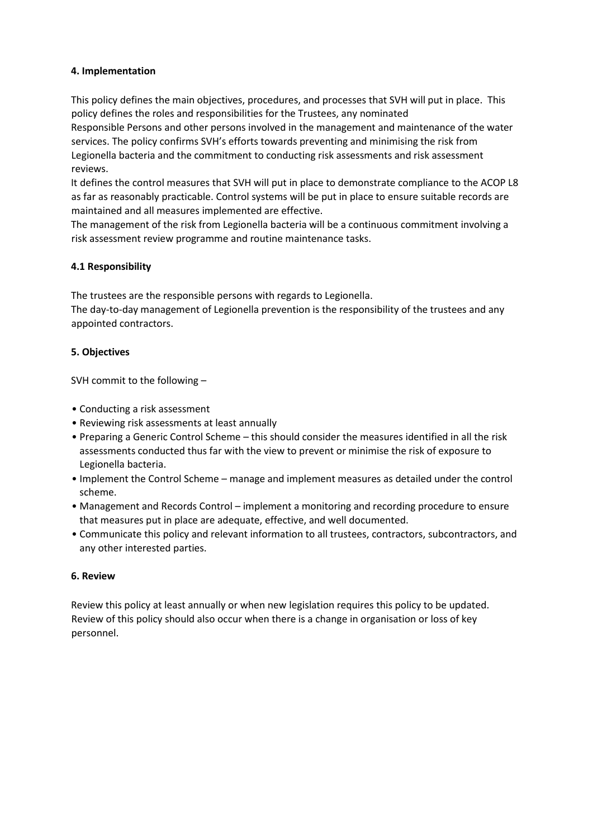### **4. Implementation**

This policy defines the main objectives, procedures, and processes that SVH will put in place. This policy defines the roles and responsibilities for the Trustees, any nominated

Responsible Persons and other persons involved in the management and maintenance of the water services. The policy confirms SVH's efforts towards preventing and minimising the risk from Legionella bacteria and the commitment to conducting risk assessments and risk assessment reviews.

It defines the control measures that SVH will put in place to demonstrate compliance to the ACOP L8 as far as reasonably practicable. Control systems will be put in place to ensure suitable records are maintained and all measures implemented are effective.

The management of the risk from Legionella bacteria will be a continuous commitment involving a risk assessment review programme and routine maintenance tasks.

#### **4.1 Responsibility**

The trustees are the responsible persons with regards to Legionella.

The day-to-day management of Legionella prevention is the responsibility of the trustees and any appointed contractors.

#### **5. Objectives**

SVH commit to the following –

- Conducting a risk assessment
- Reviewing risk assessments at least annually
- Preparing a Generic Control Scheme this should consider the measures identified in all the risk assessments conducted thus far with the view to prevent or minimise the risk of exposure to Legionella bacteria.
- Implement the Control Scheme manage and implement measures as detailed under the control scheme.
- Management and Records Control implement a monitoring and recording procedure to ensure that measures put in place are adequate, effective, and well documented.
- Communicate this policy and relevant information to all trustees, contractors, subcontractors, and any other interested parties.

#### **6. Review**

Review this policy at least annually or when new legislation requires this policy to be updated. Review of this policy should also occur when there is a change in organisation or loss of key personnel.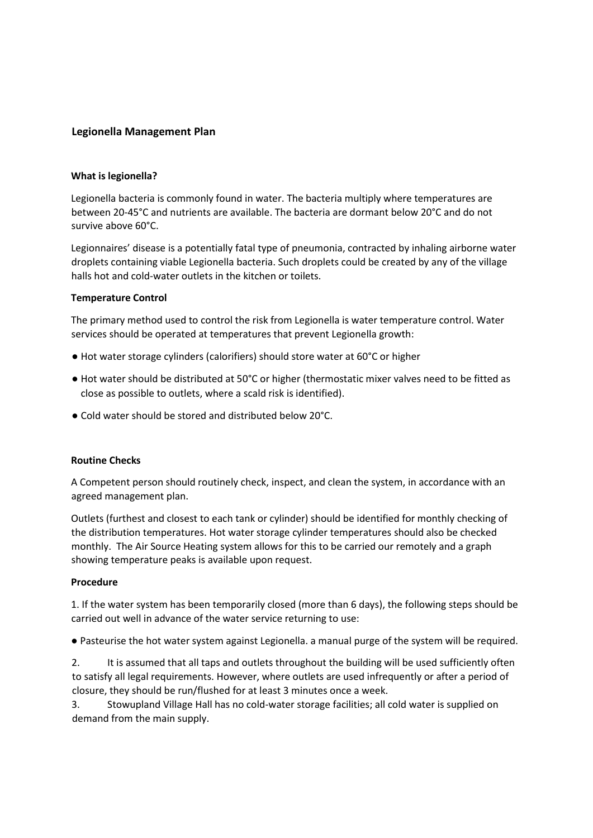### **Legionella Management Plan**

#### **What is legionella?**

Legionella bacteria is commonly found in water. The bacteria multiply where temperatures are between 20-45°C and nutrients are available. The bacteria are dormant below 20°C and do not survive above 60°C.

Legionnaires' disease is a potentially fatal type of pneumonia, contracted by inhaling airborne water droplets containing viable Legionella bacteria. Such droplets could be created by any of the village halls hot and cold-water outlets in the kitchen or toilets.

#### **Temperature Control**

The primary method used to control the risk from Legionella is water temperature control. Water services should be operated at temperatures that prevent Legionella growth:

- Hot water storage cylinders (calorifiers) should store water at 60°C or higher
- Hot water should be distributed at 50°C or higher (thermostatic mixer valves need to be fitted as close as possible to outlets, where a scald risk is identified).
- Cold water should be stored and distributed below 20°C.

#### **Routine Checks**

A Competent person should routinely check, inspect, and clean the system, in accordance with an agreed management plan.

Outlets (furthest and closest to each tank or cylinder) should be identified for monthly checking of the distribution temperatures. Hot water storage cylinder temperatures should also be checked monthly. The Air Source Heating system allows for this to be carried our remotely and a graph showing temperature peaks is available upon request.

#### **Procedure**

1. If the water system has been temporarily closed (more than 6 days), the following steps should be carried out well in advance of the water service returning to use:

● Pasteurise the hot water system against Legionella. a manual purge of the system will be required.

2. It is assumed that all taps and outlets throughout the building will be used sufficiently often to satisfy all legal requirements. However, where outlets are used infrequently or after a period of closure, they should be run/flushed for at least 3 minutes once a week.

3. Stowupland Village Hall has no cold-water storage facilities; all cold water is supplied on demand from the main supply.